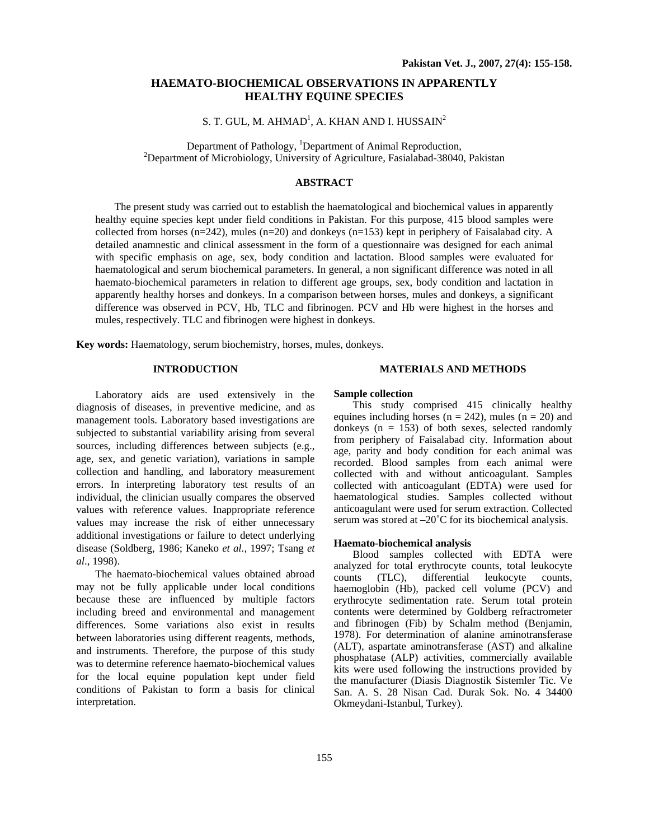# **HAEMATO-BIOCHEMICAL OBSERVATIONS IN APPARENTLY HEALTHY EQUINE SPECIES**

S. T. GUL, M. AHMAD<sup>1</sup>, A. KHAN AND I. HUSSAIN<sup>2</sup>

Department of Pathology, <sup>1</sup>Department of Animal Reproduction, <sup>2</sup>Department of Microbiology, University of Agriculture, Fasialabad-38040, Pakistan

# **ABSTRACT**

The present study was carried out to establish the haematological and biochemical values in apparently healthy equine species kept under field conditions in Pakistan. For this purpose, 415 blood samples were collected from horses (n=242), mules (n=20) and donkeys (n=153) kept in periphery of Faisalabad city. A detailed anamnestic and clinical assessment in the form of a questionnaire was designed for each animal with specific emphasis on age, sex, body condition and lactation. Blood samples were evaluated for haematological and serum biochemical parameters. In general, a non significant difference was noted in all haemato-biochemical parameters in relation to different age groups, sex, body condition and lactation in apparently healthy horses and donkeys. In a comparison between horses, mules and donkeys, a significant difference was observed in PCV, Hb, TLC and fibrinogen. PCV and Hb were highest in the horses and mules, respectively. TLC and fibrinogen were highest in donkeys.

**Key words:** Haematology, serum biochemistry, horses, mules, donkeys.

### **INTRODUCTION**

Laboratory aids are used extensively in the diagnosis of diseases, in preventive medicine, and as management tools. Laboratory based investigations are subjected to substantial variability arising from several sources, including differences between subjects (e.g., age, sex, and genetic variation), variations in sample collection and handling, and laboratory measurement errors. In interpreting laboratory test results of an individual, the clinician usually compares the observed values with reference values. Inappropriate reference values may increase the risk of either unnecessary additional investigations or failure to detect underlying disease (Soldberg, 1986; Kaneko *et al.,* 1997; Tsang *et al*., 1998).

The haemato-biochemical values obtained abroad may not be fully applicable under local conditions because these are influenced by multiple factors including breed and environmental and management differences. Some variations also exist in results between laboratories using different reagents, methods, and instruments. Therefore, the purpose of this study was to determine reference haemato-biochemical values for the local equine population kept under field conditions of Pakistan to form a basis for clinical interpretation.

#### **MATERIALS AND METHODS**

## **Sample collection**

This study comprised 415 clinically healthy equines including horses ( $n = 242$ ), mules ( $n = 20$ ) and donkeys  $(n = 153)$  of both sexes, selected randomly from periphery of Faisalabad city. Information about age, parity and body condition for each animal was recorded. Blood samples from each animal were collected with and without anticoagulant. Samples collected with anticoagulant (EDTA) were used for haematological studies. Samples collected without anticoagulant were used for serum extraction. Collected serum was stored at –20°C for its biochemical analysis.

#### **Haemato-biochemical analysis**

Blood samples collected with EDTA were analyzed for total erythrocyte counts, total leukocyte counts (TLC), differential leukocyte counts, haemoglobin (Hb), packed cell volume (PCV) and erythrocyte sedimentation rate. Serum total protein contents were determined by Goldberg refractrometer and fibrinogen (Fib) by Schalm method (Benjamin, 1978). For determination of alanine aminotransferase (ALT), aspartate aminotransferase (AST) and alkaline phosphatase (ALP) activities, commercially available kits were used following the instructions provided by the manufacturer (Diasis Diagnostik Sistemler Tic. Ve San. A. S. 28 Nisan Cad. Durak Sok. No. 4 34400 Okmeydani-Istanbul, Turkey).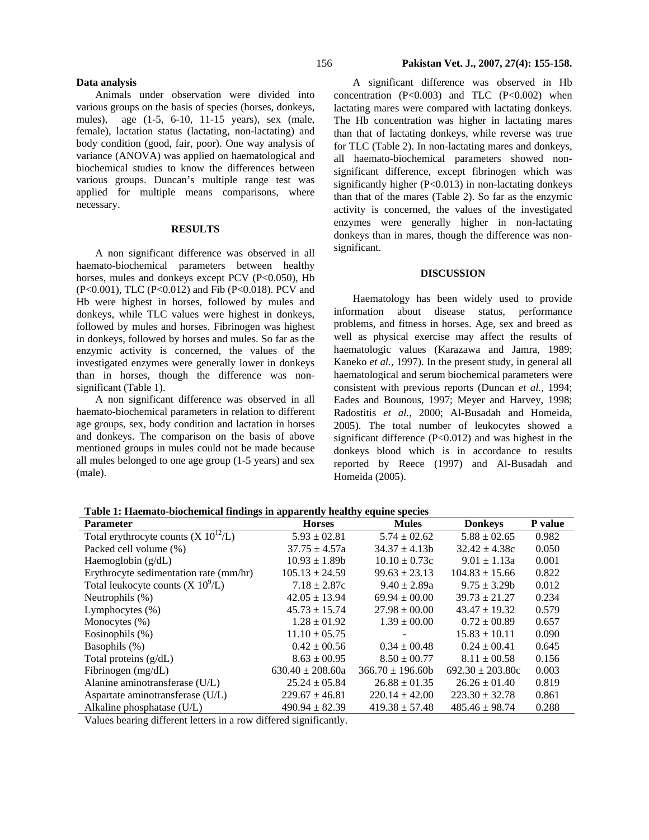## **Data analysis**

Animals under observation were divided into various groups on the basis of species (horses, donkeys, mules), age (1-5, 6-10, 11-15 years), sex (male, female), lactation status (lactating, non-lactating) and body condition (good, fair, poor). One way analysis of variance (ANOVA) was applied on haematological and biochemical studies to know the differences between various groups. Duncan's multiple range test was applied for multiple means comparisons, where necessary.

### **RESULTS**

A non significant difference was observed in all haemato-biochemical parameters between healthy horses, mules and donkeys except PCV (P<0.050), Hb (P<0.001), TLC (P<0.012) and Fib (P<0.018). PCV and Hb were highest in horses, followed by mules and donkeys, while TLC values were highest in donkeys, followed by mules and horses. Fibrinogen was highest in donkeys, followed by horses and mules. So far as the enzymic activity is concerned, the values of the investigated enzymes were generally lower in donkeys than in horses, though the difference was nonsignificant (Table 1).

A non significant difference was observed in all haemato-biochemical parameters in relation to different age groups, sex, body condition and lactation in horses and donkeys. The comparison on the basis of above mentioned groups in mules could not be made because all mules belonged to one age group (1-5 years) and sex (male).

A significant difference was observed in Hb concentration  $(P<0.003)$  and TLC  $(P<0.002)$  when lactating mares were compared with lactating donkeys. The Hb concentration was higher in lactating mares than that of lactating donkeys, while reverse was true for TLC (Table 2). In non-lactating mares and donkeys, all haemato-biochemical parameters showed nonsignificant difference, except fibrinogen which was significantly higher  $(P<0.013)$  in non-lactating donkeys than that of the mares (Table 2). So far as the enzymic activity is concerned, the values of the investigated enzymes were generally higher in non-lactating donkeys than in mares, though the difference was nonsignificant.

### **DISCUSSION**

Haematology has been widely used to provide information about disease status, performance problems, and fitness in horses. Age, sex and breed as well as physical exercise may affect the results of haematologic values (Karazawa and Jamra, 1989; Kaneko *et al.,* 1997). In the present study, in general all haematological and serum biochemical parameters were consistent with previous reports (Duncan *et al.,* 1994; Eades and Bounous, 1997; Meyer and Harvey, 1998; Radostitis *et al.,* 2000; Al-Busadah and Homeida, 2005). The total number of leukocytes showed a significant difference (P<0.012) and was highest in the donkeys blood which is in accordance to results reported by Reece (1997) and Al-Busadah and Homeida (2005).

| Table 1: Haemato-biochemical findings in apparently healthy equine species |  |  |
|----------------------------------------------------------------------------|--|--|
|                                                                            |  |  |

| <b>Parameter</b>                         | <b>Horses</b>        | <b>Mules</b>        | <b>Donkeys</b>       | P value |
|------------------------------------------|----------------------|---------------------|----------------------|---------|
| Total erythrocyte counts $(X 10^{12}/L)$ | $5.93 \pm 02.81$     | $5.74 \pm 02.62$    | $5.88 \pm 02.65$     | 0.982   |
| Packed cell volume (%)                   | $37.75 \pm 4.57a$    | $34.37 \pm 4.13b$   | $32.42 \pm 4.38c$    | 0.050   |
| Haemoglobin $(g/dL)$                     | $10.93 \pm 1.89b$    | $10.10 \pm 0.73c$   | $9.01 \pm 1.13a$     | 0.001   |
| Erythrocyte sedimentation rate (mm/hr)   | $105.13 \pm 24.59$   | $99.63 \pm 23.13$   | $104.83 \pm 15.66$   | 0.822   |
| Total leukocyte counts $(X 10^9/L)$      | $7.18 \pm 2.87c$     | $9.40 \pm 2.89a$    | $9.75 \pm 3.29$ h    | 0.012   |
| Neutrophils (%)                          | $42.05 \pm 13.94$    | $69.94 \pm 00.00$   | $39.73 \pm 21.27$    | 0.234   |
| Lymphocytes $(\% )$                      | $45.73 \pm 15.74$    | $27.98 \pm 00.00$   | $43.47 \pm 19.32$    | 0.579   |
| Monocytes $(\%)$                         | $1.28 \pm 01.92$     | $1.39 \pm 00.00$    | $0.72 \pm 0.89$      | 0.657   |
| Eosinophils (%)                          | $11.10 \pm 05.75$    |                     | $15.83 \pm 10.11$    | 0.090   |
| Basophils (%)                            | $0.42 \pm 00.56$     | $0.34 \pm 00.48$    | $0.24 \pm 0.41$      | 0.645   |
| Total proteins $(g/dL)$                  | $8.63 \pm 00.95$     | $8.50 \pm 00.77$    | $8.11 \pm 00.58$     | 0.156   |
| Fibrinogen (mg/dL)                       | $630.40 \pm 208.60a$ | $366.70 \pm 196.60$ | $692.30 \pm 203.80c$ | 0.003   |
| Alanine aminotransferase (U/L)           | $25.24 \pm 05.84$    | $26.88 \pm 01.35$   | $26.26 \pm 01.40$    | 0.819   |
| Aspartate aminotransferase (U/L)         | $229.67 \pm 46.81$   | $220.14 \pm 42.00$  | $223.30 \pm 32.78$   | 0.861   |
| Alkaline phosphatase $(U/L)$             | $490.94 \pm 82.39$   | $419.38 \pm 57.48$  | $485.46 \pm 98.74$   | 0.288   |

Values bearing different letters in a row differed significantly.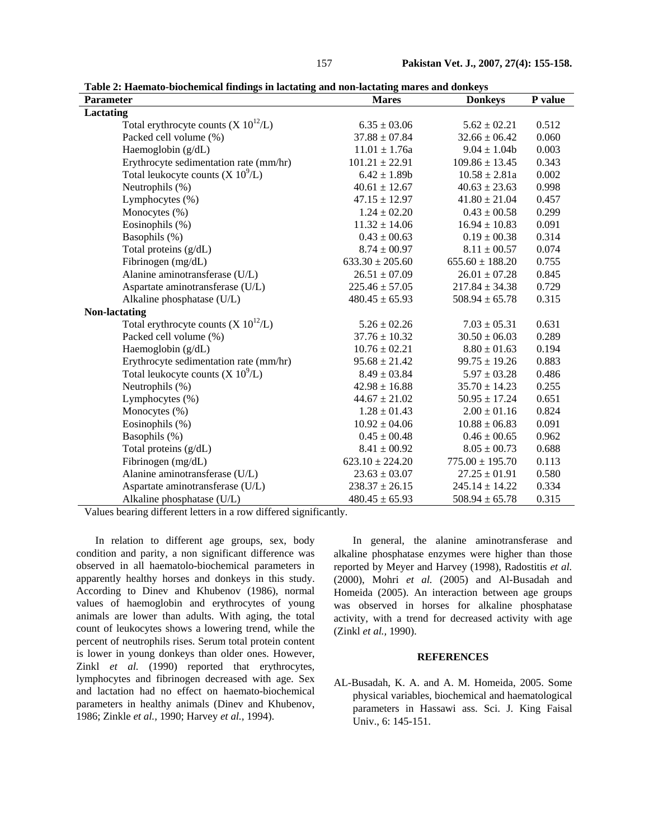**Table 2: Haemato-biochemical findings in lactating and non-lactating mares and donkeys** 

| <b>Parameter</b>                         | <b>Mares</b>        | <b>Donkeys</b>      | P value |
|------------------------------------------|---------------------|---------------------|---------|
| Lactating                                |                     |                     |         |
| Total erythrocyte counts $(X 10^{12}/L)$ | $6.35 \pm 03.06$    | $5.62 \pm 02.21$    | 0.512   |
| Packed cell volume (%)                   | $37.88 \pm 07.84$   | $32.66 \pm 06.42$   | 0.060   |
| Haemoglobin (g/dL)                       | $11.01 \pm 1.76a$   | $9.04 \pm 1.04$     | 0.003   |
| Erythrocyte sedimentation rate (mm/hr)   | $101.21 \pm 22.91$  | $109.86 \pm 13.45$  | 0.343   |
| Total leukocyte counts $(X 10^9/L)$      | $6.42 \pm 1.89b$    | $10.58 \pm 2.81a$   | 0.002   |
| Neutrophils (%)                          | $40.61 \pm 12.67$   | $40.63 \pm 23.63$   | 0.998   |
| Lymphocytes (%)                          | $47.15 \pm 12.97$   | $41.80 \pm 21.04$   | 0.457   |
| Monocytes (%)                            | $1.24 \pm 02.20$    | $0.43 \pm 00.58$    | 0.299   |
| Eosinophils (%)                          | $11.32 \pm 14.06$   | $16.94 \pm 10.83$   | 0.091   |
| Basophils (%)                            | $0.43 \pm 00.63$    | $0.19 \pm 00.38$    | 0.314   |
| Total proteins (g/dL)                    | $8.74 \pm 00.97$    | $8.11 \pm 00.57$    | 0.074   |
| Fibrinogen (mg/dL)                       | $633.30 \pm 205.60$ | $655.60 \pm 188.20$ | 0.755   |
| Alanine aminotransferase (U/L)           | $26.51 \pm 07.09$   | $26.01 \pm 07.28$   | 0.845   |
| Aspartate aminotransferase (U/L)         | $225.46 \pm 57.05$  | $217.84 \pm 34.38$  | 0.729   |
| Alkaline phosphatase (U/L)               | $480.45 \pm 65.93$  | $508.94 \pm 65.78$  | 0.315   |
| <b>Non-lactating</b>                     |                     |                     |         |
| Total erythrocyte counts $(X 10^{12}/L)$ | $5.26 \pm 02.26$    | $7.03 \pm 05.31$    | 0.631   |
| Packed cell volume (%)                   | $37.76 \pm 10.32$   | $30.50 \pm 06.03$   | 0.289   |
| Haemoglobin (g/dL)                       | $10.76 \pm 02.21$   | $8.80 \pm 01.63$    | 0.194   |
| Erythrocyte sedimentation rate (mm/hr)   | $95.68 \pm 21.42$   | $99.75 \pm 19.26$   | 0.883   |
| Total leukocyte counts $(X 10^9/L)$      | $8.49 \pm 03.84$    | $5.97 \pm 03.28$    | 0.486   |
| Neutrophils (%)                          | $42.98 \pm 16.88$   | $35.70 \pm 14.23$   | 0.255   |
| Lymphocytes (%)                          | $44.67 \pm 21.02$   | $50.95 \pm 17.24$   | 0.651   |
| Monocytes (%)                            | $1.28 \pm 01.43$    | $2.00 \pm 01.16$    | 0.824   |
| Eosinophils (%)                          | $10.92 \pm 04.06$   | $10.88 \pm 06.83$   | 0.091   |
| Basophils (%)                            | $0.45 \pm 00.48$    | $0.46 \pm 00.65$    | 0.962   |
| Total proteins (g/dL)                    | $8.41 \pm 00.92$    | $8.05 \pm 00.73$    | 0.688   |
| Fibrinogen (mg/dL)                       | $623.10 \pm 224.20$ | $775.00 \pm 195.70$ | 0.113   |
| Alanine aminotransferase (U/L)           | $23.63 \pm 03.07$   | $27.25 \pm 01.91$   | 0.580   |
| Aspartate aminotransferase (U/L)         | $238.37 \pm 26.15$  | $245.14 \pm 14.22$  | 0.334   |
| Alkaline phosphatase (U/L)               | $480.45 \pm 65.93$  | $508.94 \pm 65.78$  | 0.315   |

Values bearing different letters in a row differed significantly.

In relation to different age groups, sex, body condition and parity, a non significant difference was observed in all haematolo-biochemical parameters in apparently healthy horses and donkeys in this study. According to Dinev and Khubenov (1986), normal values of haemoglobin and erythrocytes of young animals are lower than adults. With aging, the total count of leukocytes shows a lowering trend, while the percent of neutrophils rises. Serum total protein content is lower in young donkeys than older ones. However, Zinkl *et al.* (1990) reported that erythrocytes, lymphocytes and fibrinogen decreased with age. Sex and lactation had no effect on haemato-biochemical parameters in healthy animals (Dinev and Khubenov, 1986; Zinkle *et al.,* 1990; Harvey *et al.,* 1994).

In general, the alanine aminotransferase and alkaline phosphatase enzymes were higher than those reported by Meyer and Harvey (1998), Radostitis *et al.* (2000), Mohri *et al.* (2005) and Al-Busadah and Homeida (2005). An interaction between age groups was observed in horses for alkaline phosphatase activity, with a trend for decreased activity with age (Zinkl *et al.,* 1990).

### **REFERENCES**

AL-Busadah, K. A. and A. M. Homeida, 2005. Some physical variables, biochemical and haematological parameters in Hassawi ass. Sci. J. King Faisal Univ., 6: 145-151.